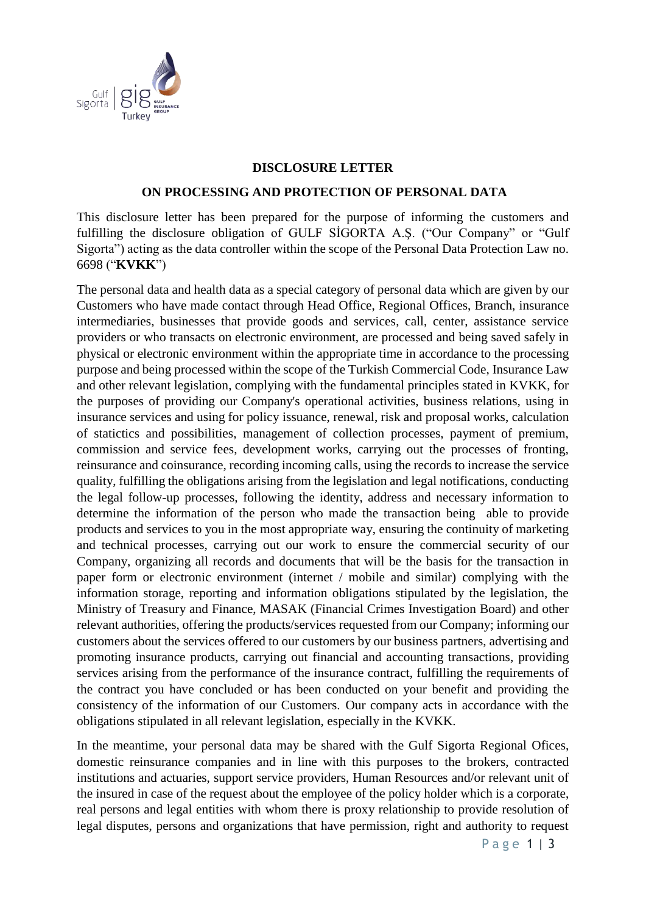

## **DISCLOSURE LETTER**

## **ON PROCESSING AND PROTECTION OF PERSONAL DATA**

This disclosure letter has been prepared for the purpose of informing the customers and fulfilling the disclosure obligation of GULF SİGORTA A.Ş. ("Our Company" or "Gulf Sigorta") acting as the data controller within the scope of the Personal Data Protection Law no. 6698 ("**KVKK**")

The personal data and health data as a special category of personal data which are given by our Customers who have made contact through Head Office, Regional Offices, Branch, insurance intermediaries, businesses that provide goods and services, call, center, assistance service providers or who transacts on electronic environment, are processed and being saved safely in physical or electronic environment within the appropriate time in accordance to the processing purpose and being processed within the scope of the Turkish Commercial Code, Insurance Law and other relevant legislation, complying with the fundamental principles stated in KVKK, for the purposes of providing our Company's operational activities, business relations, using in insurance services and using for policy issuance, renewal, risk and proposal works, calculation of statictics and possibilities, management of collection processes, payment of premium, commission and service fees, development works, carrying out the processes of fronting, reinsurance and coinsurance, recording incoming calls, using the records to increase the service quality, fulfilling the obligations arising from the legislation and legal notifications, conducting the legal follow-up processes, following the identity, address and necessary information to determine the information of the person who made the transaction being able to provide products and services to you in the most appropriate way, ensuring the continuity of marketing and technical processes, carrying out our work to ensure the commercial security of our Company, organizing all records and documents that will be the basis for the transaction in paper form or electronic environment (internet / mobile and similar) complying with the information storage, reporting and information obligations stipulated by the legislation, the Ministry of Treasury and Finance, MASAK (Financial Crimes Investigation Board) and other relevant authorities, offering the products/services requested from our Company; informing our customers about the services offered to our customers by our business partners, advertising and promoting insurance products, carrying out financial and accounting transactions, providing services arising from the performance of the insurance contract, fulfilling the requirements of the contract you have concluded or has been conducted on your benefit and providing the consistency of the information of our Customers. Our company acts in accordance with the obligations stipulated in all relevant legislation, especially in the KVKK.

In the meantime, your personal data may be shared with the Gulf Sigorta Regional Ofices, domestic reinsurance companies and in line with this purposes to the brokers, contracted institutions and actuaries, support service providers, Human Resources and/or relevant unit of the insured in case of the request about the employee of the policy holder which is a corporate, real persons and legal entities with whom there is proxy relationship to provide resolution of legal disputes, persons and organizations that have permission, right and authority to request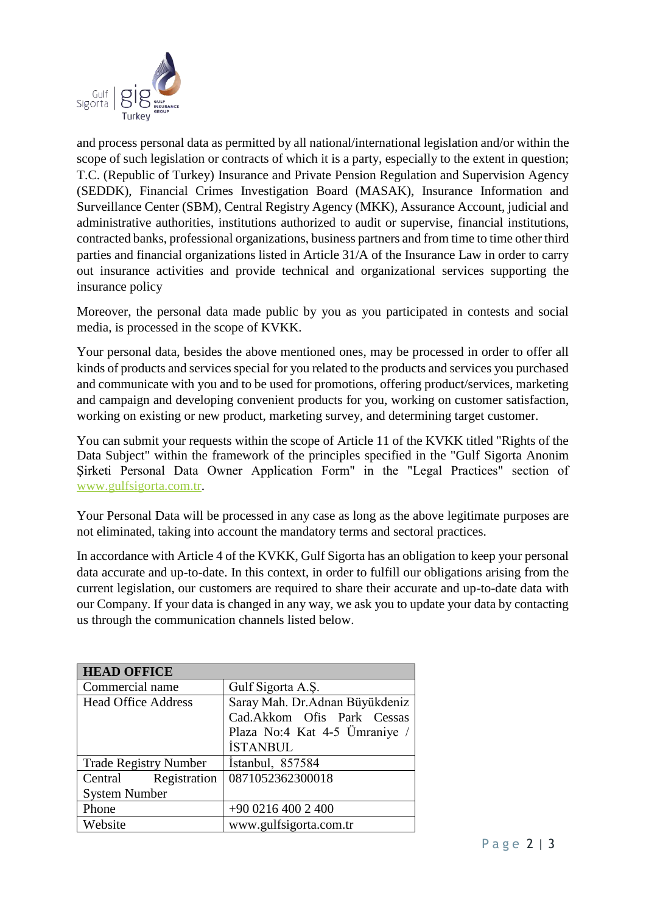

and process personal data as permitted by all national/international legislation and/or within the scope of such legislation or contracts of which it is a party, especially to the extent in question; T.C. (Republic of Turkey) Insurance and Private Pension Regulation and Supervision Agency (SEDDK), Financial Crimes Investigation Board (MASAK), Insurance Information and Surveillance Center (SBM), Central Registry Agency (MKK), Assurance Account, judicial and administrative authorities, institutions authorized to audit or supervise, financial institutions, contracted banks, professional organizations, business partners and from time to time other third parties and financial organizations listed in Article 31/A of the Insurance Law in order to carry out insurance activities and provide technical and organizational services supporting the insurance policy

Moreover, the personal data made public by you as you participated in contests and social media, is processed in the scope of KVKK.

Your personal data, besides the above mentioned ones, may be processed in order to offer all kinds of products and services special for you related to the products and services you purchased and communicate with you and to be used for promotions, offering product/services, marketing and campaign and developing convenient products for you, working on customer satisfaction, working on existing or new product, marketing survey, and determining target customer.

You can submit your requests within the scope of Article 11 of the KVKK titled "Rights of the Data Subject" within the framework of the principles specified in the "Gulf Sigorta Anonim Şirketi Personal Data Owner Application Form" in the "Legal Practices" section of [www.gulfsigorta.com.tr.](http://www.gulfsigorta.com.tr/)

Your Personal Data will be processed in any case as long as the above legitimate purposes are not eliminated, taking into account the mandatory terms and sectoral practices.

In accordance with Article 4 of the KVKK, Gulf Sigorta has an obligation to keep your personal data accurate and up-to-date. In this context, in order to fulfill our obligations arising from the current legislation, our customers are required to share their accurate and up-to-date data with our Company. If your data is changed in any way, we ask you to update your data by contacting us through the communication channels listed below.

| <b>HEAD OFFICE</b>           |                                |
|------------------------------|--------------------------------|
| Commercial name              | Gulf Sigorta A.S.              |
| <b>Head Office Address</b>   | Saray Mah. Dr.Adnan Büyükdeniz |
|                              | Cad.Akkom Ofis Park Cessas     |
|                              | Plaza No:4 Kat 4-5 Ümraniye /  |
|                              | <b>İSTANBUL</b>                |
| <b>Trade Registry Number</b> | Istanbul, 857584               |
| Central Registration         | 0871052362300018               |
| <b>System Number</b>         |                                |
| Phone                        | $+9002164002400$               |
| Website                      | www.gulfsigorta.com.tr         |